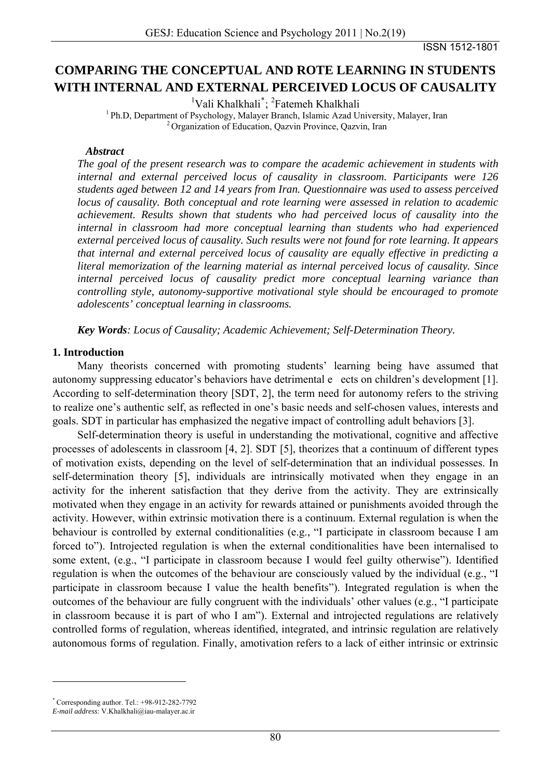ISSN 1512-1801

# **COMPARING THE CONCEPTUAL AND ROTE LEARNING IN STUDENTS WITH INTERNAL AND EXTERNAL PERCEIVED LOCUS OF CAUSALITY**

<sup>1</sup>Vali Khalkhali<sup>[\\*](#page-0-0)</sup>;<sup>2</sup>

<sup>1</sup> Ph.D, Department of Psychology, Malayer Branch, Islamic Azad University, Malayer, Iran <sup>2</sup> Organization of Education, Qazvin Province, Qazvin, Iran

#### *Abstract*

*The goal of the present research was to compare the academic achievement in students with internal and external perceived locus of causality in classroom. Participants were 126 students aged between 12 and 14 years from Iran. Questionnaire was used to assess perceived locus of causality. Both conceptual and rote learning were assessed in relation to academic achievement. Results shown that students who had perceived locus of causality into the internal in classroom had more conceptual learning than students who had experienced external perceived locus of causality. Such results were not found for rote learning. It appears that internal and external perceived locus of causality are equally effective in predicting a literal memorization of the learning material as internal perceived locus of causality. Since internal perceived locus of causality predict more conceptual learning variance than controlling style, autonomy-supportive motivational style should be encouraged to promote adolescents' conceptual learning in classrooms.* 

*Key Words: Locus of Causality; Academic Achievement; Self-Determination Theory.* 

## **1. Introduction**

Many theorists concerned with promoting students' learning being have assumed that autonomy suppressing educator's behaviors have detrimental eects on children's development [1]. According to self-determination theory [SDT, 2], the term need for autonomy refers to the striving to realize one's authentic self, as reflected in one's basic needs and self-chosen values, interests and goals. SDT in particular has emphasized the negative impact of controlling adult behaviors [3].

Self-determination theory is useful in understanding the motivational, cognitive and affective processes of adolescents in classroom [4, 2]. SDT [5], theorizes that a continuum of different types of motivation exists, depending on the level of self-determination that an individual possesses. In self-determination theory [5], individuals are intrinsically motivated when they engage in an activity for the inherent satisfaction that they derive from the activity. They are extrinsically motivated when they engage in an activity for rewards attained or punishments avoided through the activity. However, within extrinsic motivation there is a continuum. External regulation is when the behaviour is controlled by external conditionalities (e.g., "I participate in classroom because I am forced to"). Introjected regulation is when the external conditionalities have been internalised to some extent, (e.g., "I participate in classroom because I would feel guilty otherwise"). Identified regulation is when the outcomes of the behaviour are consciously valued by the individual (e.g., "I participate in classroom because I value the health benefits"). Integrated regulation is when the outcomes of the behaviour are fully congruent with the individuals' other values (e.g., "I participate in classroom because it is part of who I am"). External and introjected regulations are relatively controlled forms of regulation, whereas identified, integrated, and intrinsic regulation are relatively autonomous forms of regulation. Finally, amotivation refers to a lack of either intrinsic or extrinsic

<span id="page-0-0"></span><sup>\*</sup> Corresponding author. Tel.: +98-912-282-7792

*E-mail address*: V.Khalkhali@iau-malayer.ac.ir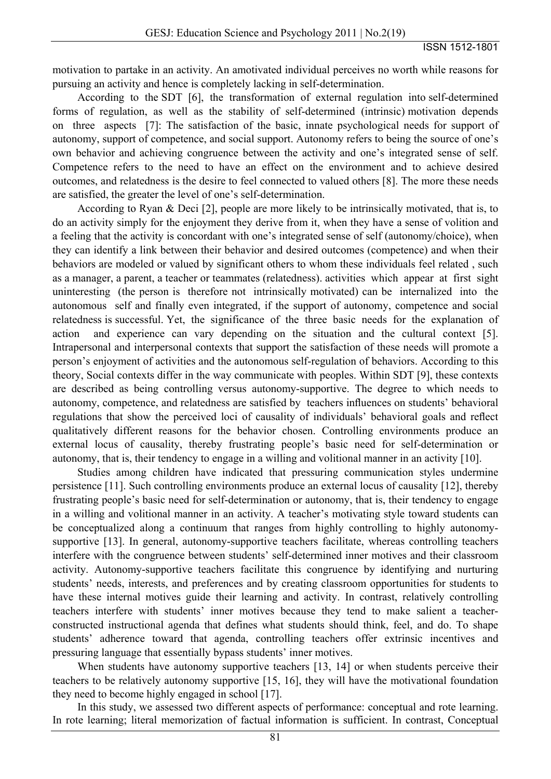motivation to partake in an activity. An amotivated individual perceives no worth while reasons for pursuing an activity and hence is completely lacking in self-determination.

According to the SDT [6], the transformation of external regulation into self-determined forms of regulation, as well as the stability of self-determined (intrinsic) motivation depends on three aspects [7]: The satisfaction of the basic, innate psychological needs for support of autonomy, support of competence, and social support. Autonomy refers to being the source of one's own behavior and achieving congruence between the activity and one's integrated sense of self. Competence refers to the need to have an effect on the environment and to achieve desired outcomes, and relatedness is the desire to feel connected to valued others [8]. The more these needs are satisfied, the greater the level of one's self-determination.

According to Ryan & Deci [2], people are more likely to be intrinsically motivated, that is, to do an activity simply for the enjoyment they derive from it, when they have a sense of volition and a feeling that the activity is concordant with one's integrated sense of self (autonomy/choice), when they can identify a link between their behavior and desired outcomes (competence) and when their behaviors are modeled or valued by significant others to whom these individuals feel related , such as a manager, a parent, a teacher or teammates (relatedness). activities which appear at first sight uninteresting (the person is therefore not intrinsically motivated) can be internalized into the autonomous self and finally even integrated, if the support of autonomy, competence and social relatedness is successful. Yet, the significance of the three basic needs for the explanation of action and experience can vary depending on the situation and the cultural context [5]. Intrapersonal and interpersonal contexts that support the satisfaction of these needs will promote a person's enjoyment of activities and the autonomous self-regulation of behaviors. According to this theory, Social contexts differ in the way communicate with peoples. Within SDT [9], these contexts are described as being controlling versus autonomy-supportive. The degree to which needs to autonomy, competence, and relatedness are satisfied by teachers influences on students' behavioral regulations that show the perceived loci of causality of individuals' behavioral goals and reflect qualitatively different reasons for the behavior chosen. Controlling environments produce an external locus of causality, thereby frustrating people's basic need for self-determination or autonomy, that is, their tendency to engage in a willing and volitional manner in an activity [10].

Studies among children have indicated that pressuring communication styles undermine persistence [11]. Such controlling environments produce an external locus of causality [12], thereby frustrating people's basic need for self-determination or autonomy, that is, their tendency to engage in a willing and volitional manner in an activity. A teacher's motivating style toward students can be conceptualized along a continuum that ranges from highly controlling to highly autonomysupportive [13]. In general, autonomy-supportive teachers facilitate, whereas controlling teachers interfere with the congruence between students' self-determined inner motives and their classroom activity. Autonomy-supportive teachers facilitate this congruence by identifying and nurturing students' needs, interests, and preferences and by creating classroom opportunities for students to have these internal motives guide their learning and activity. In contrast, relatively controlling teachers interfere with students' inner motives because they tend to make salient a teacherconstructed instructional agenda that defines what students should think, feel, and do. To shape students' adherence toward that agenda, controlling teachers offer extrinsic incentives and pressuring language that essentially bypass students' inner motives.

When students have autonomy supportive teachers [13, 14] or when students perceive their teachers to be relatively autonomy supportive [15, 16], they will have the motivational foundation they need to become highly engaged in school [17].

In this study, we assessed two different aspects of performance: conceptual and rote learning. In rote learning; literal memorization of factual information is sufficient. In contrast, Conceptual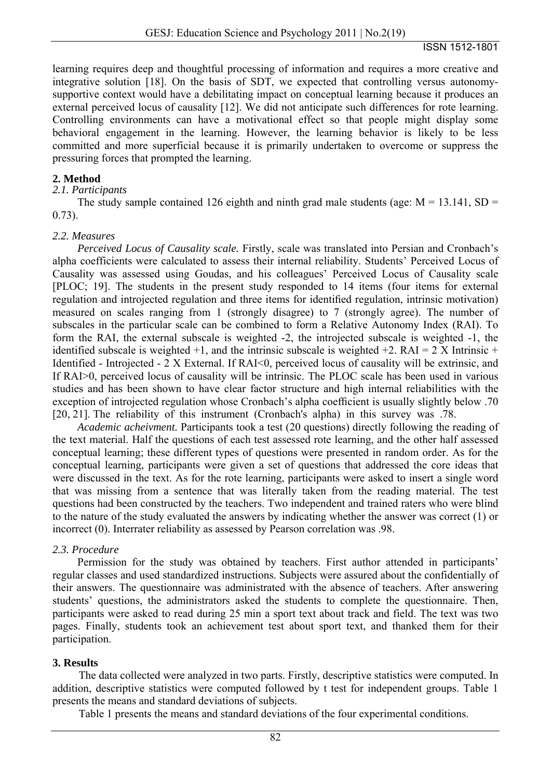learning requires deep and thoughtful processing of information and requires a more creative and integrative solution [18]. On the basis of SDT, we expected that controlling versus autonomysupportive context would have a debilitating impact on conceptual learning because it produces an external perceived locus of causality [12]. We did not anticipate such differences for rote learning. Controlling environments can have a motivational effect so that people might display some behavioral engagement in the learning. However, the learning behavior is likely to be less committed and more superficial because it is primarily undertaken to overcome or suppress the pressuring forces that prompted the learning.

## **2. Method**

#### *2.1. Participants*

The study sample contained 126 eighth and ninth grad male students (age:  $M = 13.141$ ,  $SD =$ 0.73).

#### *2.2. Measures*

*Perceived Locus of Causality scale.* Firstly, scale was translated into Persian and Cronbach's alpha coefficients were calculated to assess their internal reliability. Students' Perceived Locus of Causality was assessed using Goudas, and his colleagues' Perceived Locus of Causality scale [PLOC; 19]. The students in the present study responded to 14 items (four items for external regulation and introjected regulation and three items for identified regulation, intrinsic motivation) measured on scales ranging from 1 (strongly disagree) to 7 (strongly agree). The number of subscales in the particular scale can be combined to form a Relative Autonomy Index (RAI). To form the RAI, the external subscale is weighted -2, the introjected subscale is weighted -1, the identified subscale is weighted +1, and the intrinsic subscale is weighted +2. RAI = 2 X Intrinsic + Identified - Introjected - 2 X External. If RAI<0, perceived locus of causality will be extrinsic, and If RAI>0, perceived locus of causality will be intrinsic. The PLOC scale has been used in various studies and has been shown to have clear factor structure and high internal reliabilities with the exception of introjected regulation whose Cronbach's alpha coefficient is usually slightly below .70 [20, 21]. The reliability of this instrument (Cronbach's alpha) in this survey was .78.

*Academic acheivment.* Participants took a test (20 questions) directly following the reading of the text material. Half the questions of each test assessed rote learning, and the other half assessed conceptual learning; these different types of questions were presented in random order. As for the conceptual learning, participants were given a set of questions that addressed the core ideas that were discussed in the text. As for the rote learning, participants were asked to insert a single word that was missing from a sentence that was literally taken from the reading material. The test questions had been constructed by the teachers. Two independent and trained raters who were blind to the nature of the study evaluated the answers by indicating whether the answer was correct (1) or incorrect (0). Interrater reliability as assessed by Pearson correlation was .98.

#### *2.3. Procedure*

Permission for the study was obtained by teachers. First author attended in participants' regular classes and used standardized instructions. Subjects were assured about the confidentially of their answers. The questionnaire was administrated with the absence of teachers. After answering students' questions, the administrators asked the students to complete the questionnaire. Then, participants were asked to read during 25 min a sport text about track and field. The text was two pages. Finally, students took an achievement test about sport text, and thanked them for their participation.

#### **3. Results**

The data collected were analyzed in two parts. Firstly, descriptive statistics were computed. In addition, descriptive statistics were computed followed by t test for independent groups. Table 1 presents the means and standard deviations of subjects.

Table 1 presents the means and standard deviations of the four experimental conditions.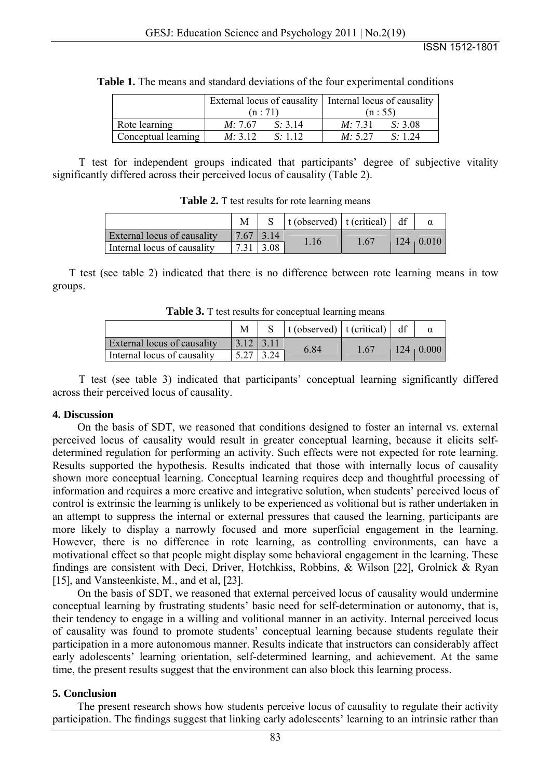|                     | (n:71)          |         | External locus of causality   Internal locus of causality<br>(n: 55) |         |  |
|---------------------|-----------------|---------|----------------------------------------------------------------------|---------|--|
| Rote learning       | <i>M</i> : 7.67 | S: 3.14 | M: 7.31                                                              | S: 3.08 |  |
| Conceptual learning | M: 3.12         | S: 112  | M: 5.27                                                              | S: 1.24 |  |

**Table 1.** The means and standard deviations of the four experimental conditions

T test for independent groups indicated that participants' degree of subjective vitality significantly differed across their perceived locus of causality (Table 2).

| Table 2. T test results for rote learning means |  |  |  |
|-------------------------------------------------|--|--|--|
|                                                 |  |  |  |

|                             |             | S $\vert$ t (observed) $\vert$ t (critical) $\vert$ df |      |                  |
|-----------------------------|-------------|--------------------------------------------------------|------|------------------|
| External locus of causality | $7.67$ 3.14 | 1.16                                                   | 1.67 | $124 \mid 0.010$ |
| Internal locus of causality | 3.08        |                                                        |      |                  |

T test (see table 2) indicated that there is no difference between rote learning means in tow groups.

**Table 3.** T test results for conceptual learning means

|                             |             |              | S   t (observed)   t (critical)   df |      |                  |
|-----------------------------|-------------|--------------|--------------------------------------|------|------------------|
| External locus of causality | $3.12$ 3.11 |              | 6.84                                 | 1.67 | $124 \mid 0.000$ |
| Internal locus of causality |             | $\vert$ 3.24 |                                      |      |                  |

T test (see table 3) indicated that participants' conceptual learning significantly differed across their perceived locus of causality.

#### **4. Discussion**

On the basis of SDT, we reasoned that conditions designed to foster an internal vs. external perceived locus of causality would result in greater conceptual learning, because it elicits selfdetermined regulation for performing an activity. Such effects were not expected for rote learning. Results supported the hypothesis. Results indicated that those with internally locus of causality shown more conceptual learning. Conceptual learning requires deep and thoughtful processing of information and requires a more creative and integrative solution, when students' perceived locus of control is extrinsic the learning is unlikely to be experienced as volitional but is rather undertaken in an attempt to suppress the internal or external pressures that caused the learning, participants are more likely to display a narrowly focused and more superficial engagement in the learning. However, there is no difference in rote learning, as controlling environments, can have a motivational effect so that people might display some behavioral engagement in the learning. These findings are consistent with Deci, Driver, Hotchkiss, Robbins, & Wilson [22], Grolnick & Ryan [15], and Vansteenkiste, M., and et al, [23].

On the basis of SDT, we reasoned that external perceived locus of causality would undermine conceptual learning by frustrating students' basic need for self-determination or autonomy, that is, their tendency to engage in a willing and volitional manner in an activity. Internal perceived locus of causality was found to promote students' conceptual learning because students regulate their participation in a more autonomous manner. Results indicate that instructors can considerably affect early adolescents' learning orientation, self-determined learning, and achievement. At the same time, the present results suggest that the environment can also block this learning process.

## **5. Conclusion**

The present research shows how students perceive locus of causality to regulate their activity participation. The findings suggest that linking early adolescents' learning to an intrinsic rather than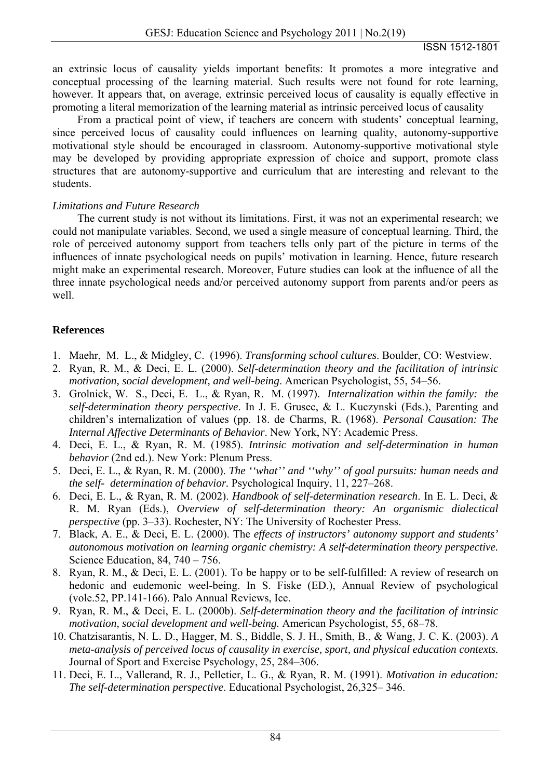an extrinsic locus of causality yields important benefits: It promotes a more integrative and conceptual processing of the learning material. Such results were not found for rote learning, however. It appears that, on average, extrinsic perceived locus of causality is equally effective in promoting a literal memorization of the learning material as intrinsic perceived locus of causality

From a practical point of view, if teachers are concern with students' conceptual learning, since perceived locus of causality could influences on learning quality, autonomy-supportive motivational style should be encouraged in classroom. Autonomy-supportive motivational style may be developed by providing appropriate expression of choice and support, promote class structures that are autonomy-supportive and curriculum that are interesting and relevant to the students.

# *Limitations and Future Research*

The current study is not without its limitations. First, it was not an experimental research; we could not manipulate variables. Second, we used a single measure of conceptual learning. Third, the role of perceived autonomy support from teachers tells only part of the picture in terms of the influences of innate psychological needs on pupils' motivation in learning. Hence, future research might make an experimental research. Moreover, Future studies can look at the influence of all the three innate psychological needs and/or perceived autonomy support from parents and/or peers as well.

# **References**

- 1. Maehr, M. L., & Midgley, C. (1996). *Transforming school cultures*. Boulder, CO: Westview.
- 2. Ryan, R. M., & Deci, E. L. (2000). *Self-determination theory and the facilitation of intrinsic motivation, social development, and well-being*. American Psychologist, 55, 54–56.
- 3. Grolnick, W. S., Deci, E. L., & Ryan, R. M. (1997). *Internalization within the family: the self-determination theory perspective*. In J. E. Grusec, & L. Kuczynski (Eds.), Parenting and children's internalization of values (pp. 18. de Charms, R. (1968). *Personal Causation: The Internal Affective Determinants of Behavior*. New York, NY: Academic Press.
- 4. Deci, E. L., & Ryan, R. M. (1985). *Intrinsic motivation and self-determination in human behavior* (2nd ed.). New York: Plenum Press.
- 5. Deci, E. L., & Ryan, R. M. (2000). *The ''what'' and ''why'' of goal pursuits: human needs and the self- determination of behavior.* Psychological Inquiry, 11, 227–268.
- 6. Deci, E. L., & Ryan, R. M. (2002). *Handbook of self-determination research*. In E. L. Deci, & R. M. Ryan (Eds.), *Overview of self-determination theory: An organismic dialectical perspective* (pp. 3–33). Rochester, NY: The University of Rochester Press.
- 7. Black, A. E., & Deci, E. L. (2000). The *effects of instructors' autonomy support and students' autonomous motivation on learning organic chemistry: A self-determination theory perspective.*  Science Education, 84, 740 – 756.
- 8. Ryan, R. M., & Deci, E. L. (2001). To be happy or to be self-fulfilled: A review of research on hedonic and eudemonic weel-being. In S. Fiske (ED.), Annual Review of psychological (vole.52, PP.141-166). Palo Annual Reviews, Ice.
- 9. Ryan, R. M., & Deci, E. L. (2000b). *Self-determination theory and the facilitation of intrinsic motivation, social development and well-being.* American Psychologist*,* 55, 68–78.
- 10. Chatzisarantis, N. L. D., Hagger, M. S., Biddle, S. J. H., Smith, B., & Wang, J. C. K. (2003). *A meta-analysis of perceived locus of causality in exercise, sport, and physical education contexts.* Journal of Sport and Exercise Psychology, 25, 284–306.
- 11. Deci, E. L., Vallerand, R. J., Pelletier, L. G., & Ryan, R. M. (1991). *Motivation in education: The self-determination perspective*. Educational Psychologist, 26,325– 346.